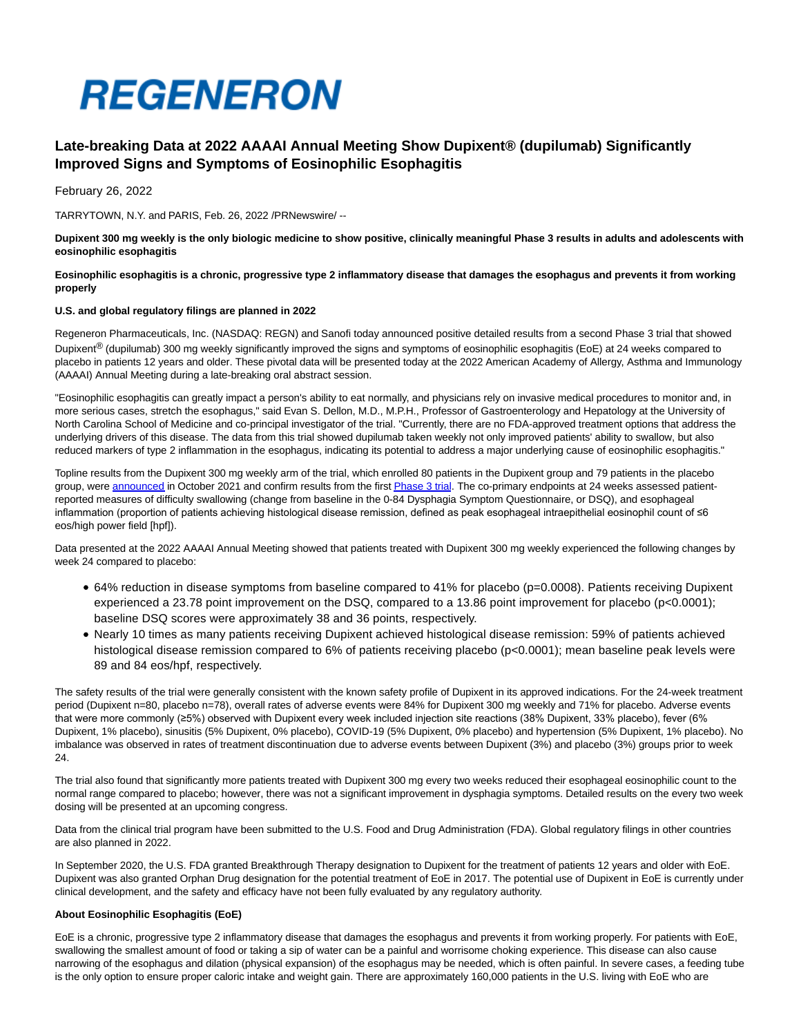

# **Late-breaking Data at 2022 AAAAI Annual Meeting Show Dupixent® (dupilumab) Significantly Improved Signs and Symptoms of Eosinophilic Esophagitis**

February 26, 2022

TARRYTOWN, N.Y. and PARIS, Feb. 26, 2022 /PRNewswire/ --

**Dupixent 300 mg weekly is the only biologic medicine to show positive, clinically meaningful Phase 3 results in adults and adolescents with eosinophilic esophagitis**

#### **Eosinophilic esophagitis is a chronic, progressive type 2 inflammatory disease that damages the esophagus and prevents it from working properly**

#### **U.S. and global regulatory filings are planned in 2022**

Regeneron Pharmaceuticals, Inc. (NASDAQ: REGN) and Sanofi today announced positive detailed results from a second Phase 3 trial that showed Dupixent<sup>®</sup> (dupilumab) 300 mg weekly significantly improved the signs and symptoms of eosinophilic esophagitis (EoE) at 24 weeks compared to placebo in patients 12 years and older. These pivotal data will be presented today at the 2022 American Academy of Allergy, Asthma and Immunology (AAAAI) Annual Meeting during a late-breaking oral abstract session.

"Eosinophilic esophagitis can greatly impact a person's ability to eat normally, and physicians rely on invasive medical procedures to monitor and, in more serious cases, stretch the esophagus," said Evan S. Dellon, M.D., M.P.H., Professor of Gastroenterology and Hepatology at the University of North Carolina School of Medicine and co-principal investigator of the trial. "Currently, there are no FDA-approved treatment options that address the underlying drivers of this disease. The data from this trial showed dupilumab taken weekly not only improved patients' ability to swallow, but also reduced markers of type 2 inflammation in the esophagus, indicating its potential to address a major underlying cause of eosinophilic esophagitis."

Topline results from the Dupixent 300 mg weekly arm of the trial, which enrolled 80 patients in the Dupixent group and 79 patients in the placebo group, wer[e announced i](https://c212.net/c/link/?t=0&l=en&o=3456115-1&h=3640290452&u=https%3A%2F%2Finvestor.regeneron.com%2Fnews-releases%2Fnews-release-details%2Fsecond-dupixentr-dupilumab-phase-3-eosinophilic-esophagitis&a=announced)n October 2021 and confirm results from the firs[t Phase 3 trial.](https://c212.net/c/link/?t=0&l=en&o=3456115-1&h=1853873449&u=https%3A%2F%2Fnewsroom.regeneron.com%2Fnews-releases%2Fnews-release-details%2Fdupixentr-dupilumab-eosinophilic-esophagitis-trial-meets-both-co&a=Phase+3+trial) The co-primary endpoints at 24 weeks assessed patientreported measures of difficulty swallowing (change from baseline in the 0-84 Dysphagia Symptom Questionnaire, or DSQ), and esophageal inflammation (proportion of patients achieving histological disease remission, defined as peak esophageal intraepithelial eosinophil count of ≤6 eos/high power field [hpf]).

Data presented at the 2022 AAAAI Annual Meeting showed that patients treated with Dupixent 300 mg weekly experienced the following changes by week 24 compared to placebo:

- 64% reduction in disease symptoms from baseline compared to 41% for placebo (p=0.0008). Patients receiving Dupixent experienced a 23.78 point improvement on the DSQ, compared to a 13.86 point improvement for placebo (p<0.0001); baseline DSQ scores were approximately 38 and 36 points, respectively.
- Nearly 10 times as many patients receiving Dupixent achieved histological disease remission: 59% of patients achieved histological disease remission compared to 6% of patients receiving placebo (p<0.0001); mean baseline peak levels were 89 and 84 eos/hpf, respectively.

The safety results of the trial were generally consistent with the known safety profile of Dupixent in its approved indications. For the 24-week treatment period (Dupixent n=80, placebo n=78), overall rates of adverse events were 84% for Dupixent 300 mg weekly and 71% for placebo. Adverse events that were more commonly (≥5%) observed with Dupixent every week included injection site reactions (38% Dupixent, 33% placebo), fever (6% Dupixent, 1% placebo), sinusitis (5% Dupixent, 0% placebo), COVID-19 (5% Dupixent, 0% placebo) and hypertension (5% Dupixent, 1% placebo). No imbalance was observed in rates of treatment discontinuation due to adverse events between Dupixent (3%) and placebo (3%) groups prior to week 24.

The trial also found that significantly more patients treated with Dupixent 300 mg every two weeks reduced their esophageal eosinophilic count to the normal range compared to placebo; however, there was not a significant improvement in dysphagia symptoms. Detailed results on the every two week dosing will be presented at an upcoming congress.

Data from the clinical trial program have been submitted to the U.S. Food and Drug Administration (FDA). Global regulatory filings in other countries are also planned in 2022.

In September 2020, the U.S. FDA granted Breakthrough Therapy designation to Dupixent for the treatment of patients 12 years and older with EoE. Dupixent was also granted Orphan Drug designation for the potential treatment of EoE in 2017. The potential use of Dupixent in EoE is currently under clinical development, and the safety and efficacy have not been fully evaluated by any regulatory authority.

# **About Eosinophilic Esophagitis (EoE)**

EoE is a chronic, progressive type 2 inflammatory disease that damages the esophagus and prevents it from working properly. For patients with EoE, swallowing the smallest amount of food or taking a sip of water can be a painful and worrisome choking experience. This disease can also cause narrowing of the esophagus and dilation (physical expansion) of the esophagus may be needed, which is often painful. In severe cases, a feeding tube is the only option to ensure proper caloric intake and weight gain. There are approximately 160,000 patients in the U.S. living with EoE who are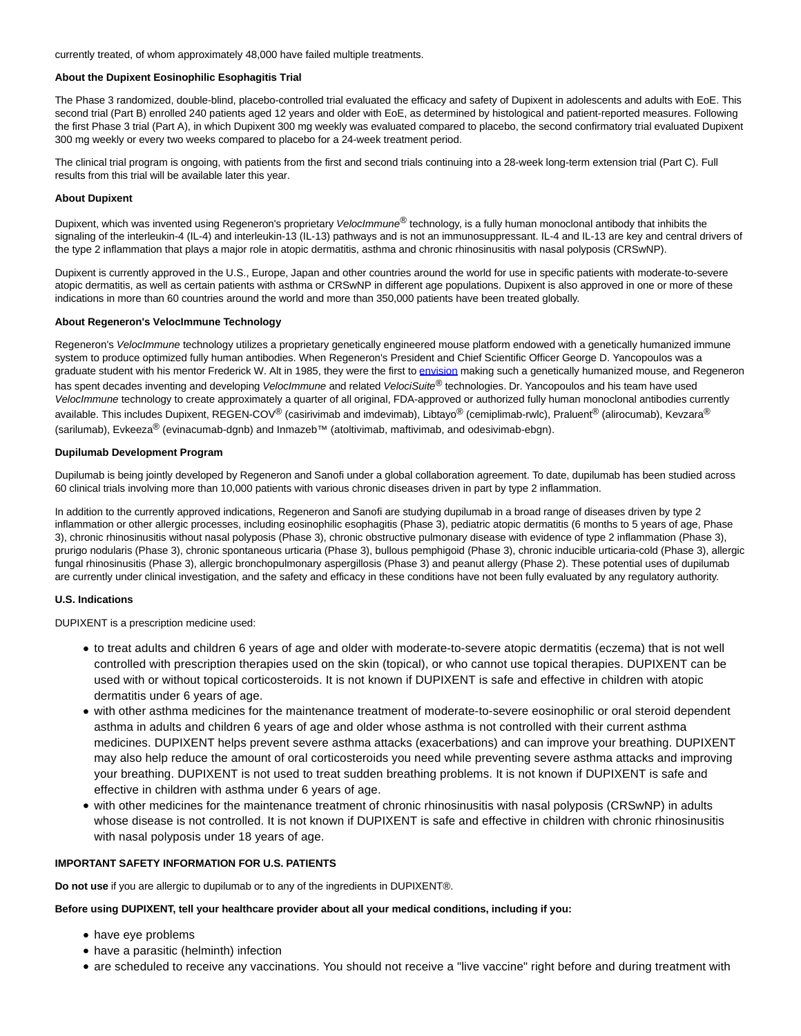currently treated, of whom approximately 48,000 have failed multiple treatments.

# **About the Dupixent Eosinophilic Esophagitis Trial**

The Phase 3 randomized, double-blind, placebo-controlled trial evaluated the efficacy and safety of Dupixent in adolescents and adults with EoE. This second trial (Part B) enrolled 240 patients aged 12 years and older with EoE, as determined by histological and patient-reported measures. Following the first Phase 3 trial (Part A), in which Dupixent 300 mg weekly was evaluated compared to placebo, the second confirmatory trial evaluated Dupixent 300 mg weekly or every two weeks compared to placebo for a 24-week treatment period.

The clinical trial program is ongoing, with patients from the first and second trials continuing into a 28-week long-term extension trial (Part C). Full results from this trial will be available later this year.

#### **About Dupixent**

Dupixent, which was invented using Regeneron's proprietary VelocImmune® technology, is a fully human monoclonal antibody that inhibits the signaling of the interleukin-4 (IL-4) and interleukin-13 (IL-13) pathways and is not an immunosuppressant. IL-4 and IL-13 are key and central drivers of the type 2 inflammation that plays a major role in atopic dermatitis, asthma and chronic rhinosinusitis with nasal polyposis (CRSwNP).

Dupixent is currently approved in the U.S., Europe, Japan and other countries around the world for use in specific patients with moderate-to-severe atopic dermatitis, as well as certain patients with asthma or CRSwNP in different age populations. Dupixent is also approved in one or more of these indications in more than 60 countries around the world and more than 350,000 patients have been treated globally.

#### **About Regeneron's VelocImmune Technology**

Regeneron's VelocImmune technology utilizes a proprietary genetically engineered mouse platform endowed with a genetically humanized immune system to produce optimized fully human antibodies. When Regeneron's President and Chief Scientific Officer George D. Yancopoulos was a graduate student with his mentor Frederick W. Alt in 1985, they were the first to [envision m](https://c212.net/c/link/?t=0&l=en&o=3456115-1&h=4061712579&u=https%3A%2F%2Fwww.sciencedirect.com%2Fscience%2Farticle%2Fabs%2Fpii%2F0168952585900897&a=envision)aking such a genetically humanized mouse, and Regeneron has spent decades inventing and developing VelocImmune and related VelociSuite® technologies. Dr. Yancopoulos and his team have used VelocImmune technology to create approximately a quarter of all original, FDA-approved or authorized fully human monoclonal antibodies currently available. This includes Dupixent, REGEN-COV<sup>®</sup> (casirivimab and imdevimab), Libtayo<sup>®</sup> (cemiplimab-rwlc), Praluent<sup>®</sup> (alirocumab), Kevzara<sup>®</sup> (sarilumab), Evkeeza® (evinacumab-dgnb) and Inmazeb™ (atoltivimab, maftivimab, and odesivimab-ebgn).

# **Dupilumab Development Program**

Dupilumab is being jointly developed by Regeneron and Sanofi under a global collaboration agreement. To date, dupilumab has been studied across 60 clinical trials involving more than 10,000 patients with various chronic diseases driven in part by type 2 inflammation.

In addition to the currently approved indications, Regeneron and Sanofi are studying dupilumab in a broad range of diseases driven by type 2 inflammation or other allergic processes, including eosinophilic esophagitis (Phase 3), pediatric atopic dermatitis (6 months to 5 years of age, Phase 3), chronic rhinosinusitis without nasal polyposis (Phase 3), chronic obstructive pulmonary disease with evidence of type 2 inflammation (Phase 3), prurigo nodularis (Phase 3), chronic spontaneous urticaria (Phase 3), bullous pemphigoid (Phase 3), chronic inducible urticaria-cold (Phase 3), allergic fungal rhinosinusitis (Phase 3), allergic bronchopulmonary aspergillosis (Phase 3) and peanut allergy (Phase 2). These potential uses of dupilumab are currently under clinical investigation, and the safety and efficacy in these conditions have not been fully evaluated by any regulatory authority.

# **U.S. Indications**

DUPIXENT is a prescription medicine used:

- to treat adults and children 6 years of age and older with moderate-to-severe atopic dermatitis (eczema) that is not well controlled with prescription therapies used on the skin (topical), or who cannot use topical therapies. DUPIXENT can be used with or without topical corticosteroids. It is not known if DUPIXENT is safe and effective in children with atopic dermatitis under 6 years of age.
- with other asthma medicines for the maintenance treatment of moderate-to-severe eosinophilic or oral steroid dependent asthma in adults and children 6 years of age and older whose asthma is not controlled with their current asthma medicines. DUPIXENT helps prevent severe asthma attacks (exacerbations) and can improve your breathing. DUPIXENT may also help reduce the amount of oral corticosteroids you need while preventing severe asthma attacks and improving your breathing. DUPIXENT is not used to treat sudden breathing problems. It is not known if DUPIXENT is safe and effective in children with asthma under 6 years of age.
- with other medicines for the maintenance treatment of chronic rhinosinusitis with nasal polyposis (CRSwNP) in adults whose disease is not controlled. It is not known if DUPIXENT is safe and effective in children with chronic rhinosinusitis with nasal polyposis under 18 years of age.

# **IMPORTANT SAFETY INFORMATION FOR U.S. PATIENTS**

**Do not use** if you are allergic to dupilumab or to any of the ingredients in DUPIXENT®.

# **Before using DUPIXENT, tell your healthcare provider about all your medical conditions, including if you:**

- have eye problems
- have a parasitic (helminth) infection
- are scheduled to receive any vaccinations. You should not receive a "live vaccine" right before and during treatment with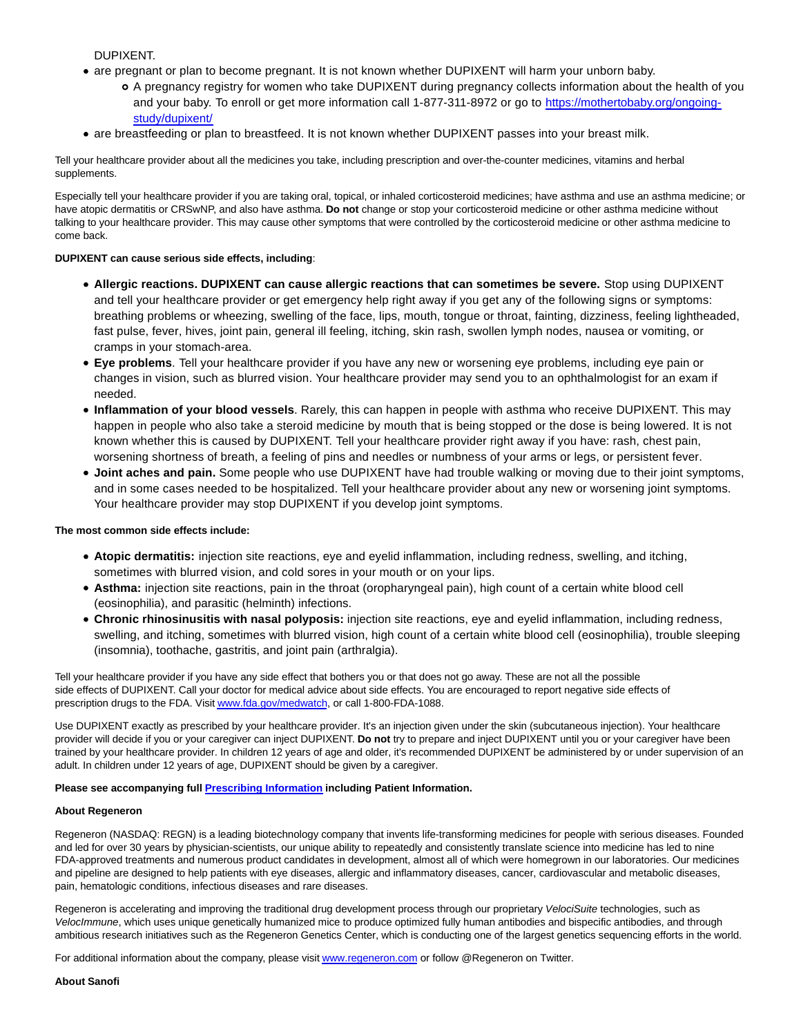DUPIXENT.

- are pregnant or plan to become pregnant. It is not known whether DUPIXENT will harm your unborn baby.
	- A pregnancy registry for women who take DUPIXENT during pregnancy collects information about the health of you and your baby. To enroll or get more information call 1-877-311-8972 or go to [https://mothertobaby.org/ongoing](https://mothertobaby.org/ongoing-study/dupixent/)study/dupixent/
- are breastfeeding or plan to breastfeed. It is not known whether DUPIXENT passes into your breast milk.

Tell your healthcare provider about all the medicines you take, including prescription and over-the-counter medicines, vitamins and herbal supplements.

Especially tell your healthcare provider if you are taking oral, topical, or inhaled corticosteroid medicines; have asthma and use an asthma medicine; or have atopic dermatitis or CRSwNP, and also have asthma. **Do not** change or stop your corticosteroid medicine or other asthma medicine without talking to your healthcare provider. This may cause other symptoms that were controlled by the corticosteroid medicine or other asthma medicine to come back.

# **DUPIXENT can cause serious side effects, including**:

- **Allergic reactions. DUPIXENT can cause allergic reactions that can sometimes be severe.** Stop using DUPIXENT and tell your healthcare provider or get emergency help right away if you get any of the following signs or symptoms: breathing problems or wheezing, swelling of the face, lips, mouth, tongue or throat, fainting, dizziness, feeling lightheaded, fast pulse, fever, hives, joint pain, general ill feeling, itching, skin rash, swollen lymph nodes, nausea or vomiting, or cramps in your stomach-area.
- **Eye problems**. Tell your healthcare provider if you have any new or worsening eye problems, including eye pain or changes in vision, such as blurred vision. Your healthcare provider may send you to an ophthalmologist for an exam if needed.
- **Inflammation of your blood vessels**. Rarely, this can happen in people with asthma who receive DUPIXENT. This may happen in people who also take a steroid medicine by mouth that is being stopped or the dose is being lowered. It is not known whether this is caused by DUPIXENT. Tell your healthcare provider right away if you have: rash, chest pain, worsening shortness of breath, a feeling of pins and needles or numbness of your arms or legs, or persistent fever.
- **Joint aches and pain.** Some people who use DUPIXENT have had trouble walking or moving due to their joint symptoms, and in some cases needed to be hospitalized. Tell your healthcare provider about any new or worsening joint symptoms. Your healthcare provider may stop DUPIXENT if you develop joint symptoms.

# **The most common side effects include:**

- **Atopic dermatitis:** injection site reactions, eye and eyelid inflammation, including redness, swelling, and itching, sometimes with blurred vision, and cold sores in your mouth or on your lips.
- **Asthma:** injection site reactions, pain in the throat (oropharyngeal pain), high count of a certain white blood cell (eosinophilia), and parasitic (helminth) infections.
- **Chronic rhinosinusitis with nasal polyposis:** injection site reactions, eye and eyelid inflammation, including redness, swelling, and itching, sometimes with blurred vision, high count of a certain white blood cell (eosinophilia), trouble sleeping (insomnia), toothache, gastritis, and joint pain (arthralgia).

Tell your healthcare provider if you have any side effect that bothers you or that does not go away. These are not all the possible side effects of DUPIXENT. Call your doctor for medical advice about side effects. You are encouraged to report negative side effects of prescription drugs to the FDA. Visi[t www.fda.gov/medwatch,](https://c212.net/c/link/?t=0&l=en&o=3456115-1&h=2750281793&u=https%3A%2F%2Fwww.fda.gov%2Fsafety%2Fmedwatch-fda-safety-information-and-adverse-event-reporting-program&a=www.fda.gov%2Fmedwatch) or call 1-800-FDA-1088.

Use DUPIXENT exactly as prescribed by your healthcare provider. It's an injection given under the skin (subcutaneous injection). Your healthcare provider will decide if you or your caregiver can inject DUPIXENT. **Do not** try to prepare and inject DUPIXENT until you or your caregiver have been trained by your healthcare provider. In children 12 years of age and older, it's recommended DUPIXENT be administered by or under supervision of an adult. In children under 12 years of age, DUPIXENT should be given by a caregiver.

# **Please see accompanying full [Prescribing Information](https://c212.net/c/link/?t=0&l=en&o=3456115-1&h=3614428154&u=https%3A%2F%2Fwww.regeneron.com%2Fsites%2Fdefault%2Ffiles%2FDupixent_FPI.pdf&a=Prescribing%C2%A0Information) including Patient Information.**

# **About Regeneron**

Regeneron (NASDAQ: REGN) is a leading biotechnology company that invents life-transforming medicines for people with serious diseases. Founded and led for over 30 years by physician-scientists, our unique ability to repeatedly and consistently translate science into medicine has led to nine FDA-approved treatments and numerous product candidates in development, almost all of which were homegrown in our laboratories. Our medicines and pipeline are designed to help patients with eye diseases, allergic and inflammatory diseases, cancer, cardiovascular and metabolic diseases, pain, hematologic conditions, infectious diseases and rare diseases.

Regeneron is accelerating and improving the traditional drug development process through our proprietary VelociSuite technologies, such as VelocImmune, which uses unique genetically humanized mice to produce optimized fully human antibodies and bispecific antibodies, and through ambitious research initiatives such as the Regeneron Genetics Center, which is conducting one of the largest genetics sequencing efforts in the world.

For additional information about the company, please visi[t www.regeneron.com o](https://c212.net/c/link/?t=0&l=en&o=3456115-1&h=1110350514&u=http%3A%2F%2Fwww.regeneron.com%2F&a=www.regeneron.com)r follow @Regeneron on Twitter.

**About Sanofi**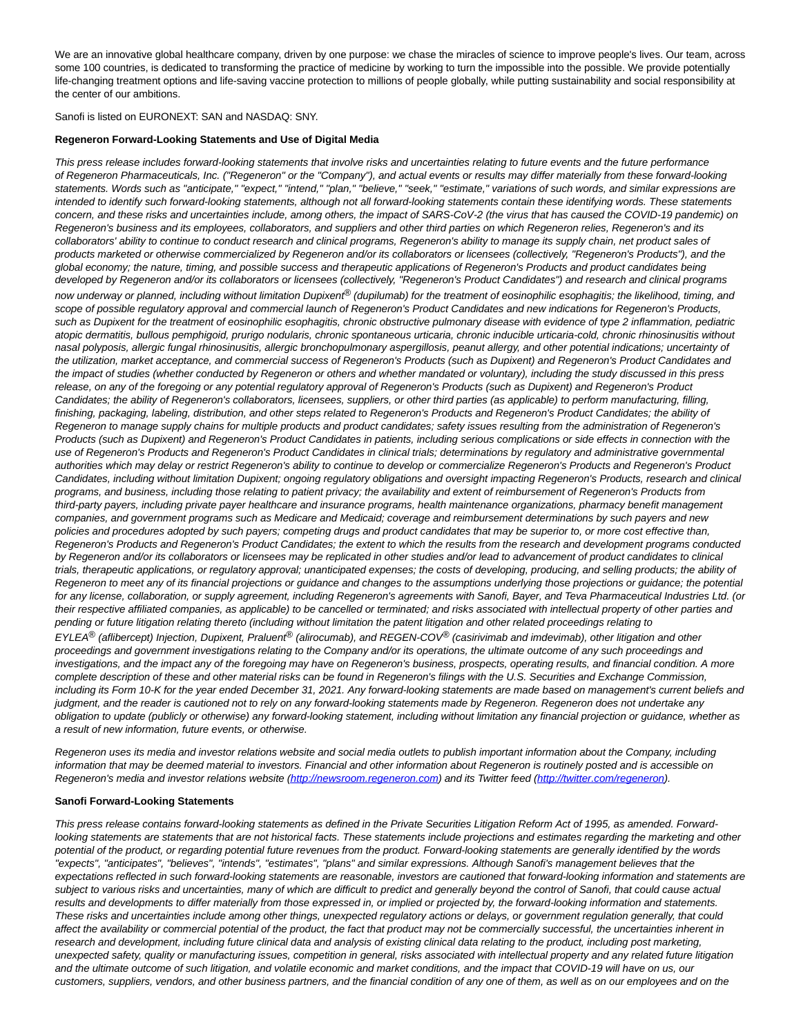We are an innovative global healthcare company, driven by one purpose: we chase the miracles of science to improve people's lives. Our team, across some 100 countries, is dedicated to transforming the practice of medicine by working to turn the impossible into the possible. We provide potentially life-changing treatment options and life-saving vaccine protection to millions of people globally, while putting sustainability and social responsibility at the center of our ambitions.

Sanofi is listed on EURONEXT: SAN and NASDAQ: SNY.

#### **Regeneron Forward-Looking Statements and Use of Digital Media**

This press release includes forward-looking statements that involve risks and uncertainties relating to future events and the future performance of Regeneron Pharmaceuticals, Inc. ("Regeneron" or the "Company"), and actual events or results may differ materially from these forward-looking statements. Words such as "anticipate," "expect," "intend," "plan," "believe," "seek," "estimate," variations of such words, and similar expressions are intended to identify such forward-looking statements, although not all forward-looking statements contain these identifying words. These statements concern, and these risks and uncertainties include, among others, the impact of SARS-CoV-2 (the virus that has caused the COVID-19 pandemic) on Regeneron's business and its employees, collaborators, and suppliers and other third parties on which Regeneron relies, Regeneron's and its collaborators' ability to continue to conduct research and clinical programs, Regeneron's ability to manage its supply chain, net product sales of products marketed or otherwise commercialized by Regeneron and/or its collaborators or licensees (collectively, "Regeneron's Products"), and the global economy; the nature, timing, and possible success and therapeutic applications of Regeneron's Products and product candidates being developed by Regeneron and/or its collaborators or licensees (collectively, "Regeneron's Product Candidates") and research and clinical programs now underway or planned, including without limitation Dupixent® (dupilumab) for the treatment of eosinophilic esophagitis; the likelihood, timing, and scope of possible regulatory approval and commercial launch of Regeneron's Product Candidates and new indications for Regeneron's Products, such as Dupixent for the treatment of eosinophilic esophagitis, chronic obstructive pulmonary disease with evidence of type 2 inflammation, pediatric atopic dermatitis, bullous pemphigoid, prurigo nodularis, chronic spontaneous urticaria, chronic inducible urticaria-cold, chronic rhinosinusitis without nasal polyposis, allergic fungal rhinosinusitis, allergic bronchopulmonary aspergillosis, peanut allergy, and other potential indications; uncertainty of the utilization, market acceptance, and commercial success of Regeneron's Products (such as Dupixent) and Regeneron's Product Candidates and the impact of studies (whether conducted by Regeneron or others and whether mandated or voluntary), including the study discussed in this press release, on any of the foregoing or any potential regulatory approval of Regeneron's Products (such as Dupixent) and Regeneron's Product Candidates; the ability of Regeneron's collaborators, licensees, suppliers, or other third parties (as applicable) to perform manufacturing, filling, finishing, packaging, labeling, distribution, and other steps related to Regeneron's Products and Regeneron's Product Candidates; the ability of Regeneron to manage supply chains for multiple products and product candidates; safety issues resulting from the administration of Regeneron's Products (such as Dupixent) and Regeneron's Product Candidates in patients, including serious complications or side effects in connection with the use of Regeneron's Products and Regeneron's Product Candidates in clinical trials; determinations by regulatory and administrative governmental authorities which may delay or restrict Regeneron's ability to continue to develop or commercialize Regeneron's Products and Regeneron's Product Candidates, including without limitation Dupixent; ongoing regulatory obligations and oversight impacting Regeneron's Products, research and clinical programs, and business, including those relating to patient privacy; the availability and extent of reimbursement of Regeneron's Products from third-party payers, including private payer healthcare and insurance programs, health maintenance organizations, pharmacy benefit management companies, and government programs such as Medicare and Medicaid; coverage and reimbursement determinations by such payers and new policies and procedures adopted by such payers; competing drugs and product candidates that may be superior to, or more cost effective than, Regeneron's Products and Regeneron's Product Candidates; the extent to which the results from the research and development programs conducted by Regeneron and/or its collaborators or licensees may be replicated in other studies and/or lead to advancement of product candidates to clinical trials, therapeutic applications, or regulatory approval; unanticipated expenses; the costs of developing, producing, and selling products; the ability of Regeneron to meet any of its financial projections or guidance and changes to the assumptions underlying those projections or guidance; the potential for any license, collaboration, or supply agreement, including Regeneron's agreements with Sanofi, Bayer, and Teva Pharmaceutical Industries Ltd. (or their respective affiliated companies, as applicable) to be cancelled or terminated; and risks associated with intellectual property of other parties and pending or future litigation relating thereto (including without limitation the patent litigation and other related proceedings relating to EYLEA® (aflibercept) Injection, Dupixent, Praluent® (alirocumab), and REGEN-COV® (casirivimab and imdevimab), other litigation and other proceedings and government investigations relating to the Company and/or its operations, the ultimate outcome of any such proceedings and investigations, and the impact any of the foregoing may have on Regeneron's business, prospects, operating results, and financial condition. A more complete description of these and other material risks can be found in Regeneron's filings with the U.S. Securities and Exchange Commission, including its Form 10-K for the year ended December 31, 2021. Any forward-looking statements are made based on management's current beliefs and judgment, and the reader is cautioned not to rely on any forward-looking statements made by Regeneron. Regeneron does not undertake any obligation to update (publicly or otherwise) any forward-looking statement, including without limitation any financial projection or guidance, whether as a result of new information, future events, or otherwise.

Regeneron uses its media and investor relations website and social media outlets to publish important information about the Company, including information that may be deemed material to investors. Financial and other information about Regeneron is routinely posted and is accessible on Regeneron's media and investor relations website [\(http://newsroom.regeneron.com\)](https://c212.net/c/link/?t=0&l=en&o=3456115-1&h=1799872968&u=http%3A%2F%2Fnewsroom.regeneron.com%2F&a=http%3A%2F%2Fnewsroom.regeneron.com) and its Twitter feed [\(http://twitter.com/regeneron\).](https://c212.net/c/link/?t=0&l=en&o=3456115-1&h=1830182463&u=https%3A%2F%2Fc212.net%2Fc%2Flink%2F%3Ft%3D0%26l%3Den%26o%3D3387026-1%26h%3D619644995%26u%3Dhttp%253A%252F%252Ftwitter.com%252Fregeneron%26a%3Dhttp%253A%252F%252Ftwitter.com%252Fregeneron&a=http%3A%2F%2Ftwitter.com%2Fregeneron)

# **Sanofi Forward-Looking Statements**

This press release contains forward-looking statements as defined in the Private Securities Litigation Reform Act of 1995, as amended. Forwardlooking statements are statements that are not historical facts. These statements include projections and estimates regarding the marketing and other potential of the product, or regarding potential future revenues from the product. Forward-looking statements are generally identified by the words "expects", "anticipates", "believes", "intends", "estimates", "plans" and similar expressions. Although Sanofi's management believes that the expectations reflected in such forward-looking statements are reasonable, investors are cautioned that forward-looking information and statements are subject to various risks and uncertainties, many of which are difficult to predict and generally beyond the control of Sanofi, that could cause actual results and developments to differ materially from those expressed in, or implied or projected by, the forward-looking information and statements. These risks and uncertainties include among other things, unexpected regulatory actions or delays, or government regulation generally, that could affect the availability or commercial potential of the product, the fact that product may not be commercially successful, the uncertainties inherent in research and development, including future clinical data and analysis of existing clinical data relating to the product, including post marketing, unexpected safety, quality or manufacturing issues, competition in general, risks associated with intellectual property and any related future litigation and the ultimate outcome of such litigation, and volatile economic and market conditions, and the impact that COVID-19 will have on us, our customers, suppliers, vendors, and other business partners, and the financial condition of any one of them, as well as on our employees and on the